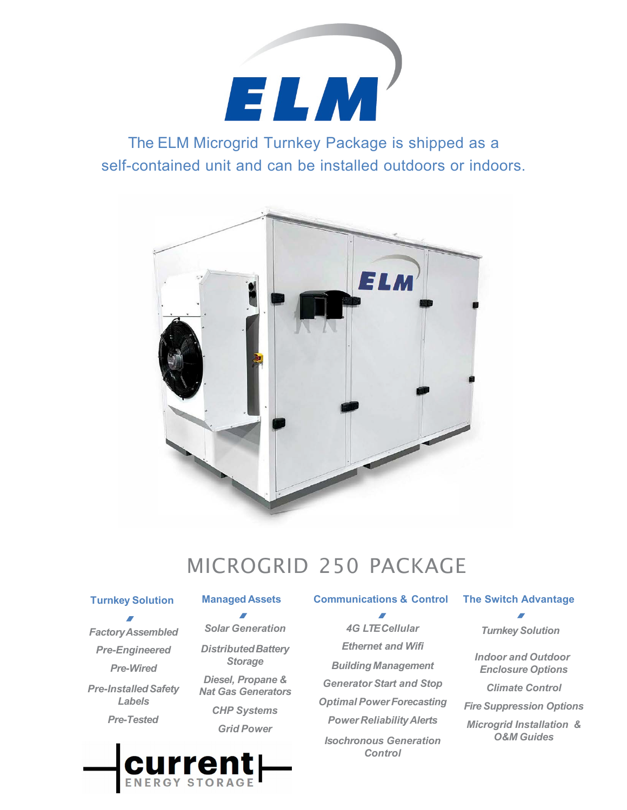

The ELM Microgrid Turnkey Package is shipped as a self-contained unit and can be installed outdoors or indoors.



# MICROGRID 250 PACKAGE

### **Turnkey Solution**

*FactoryAssembled Pre-Engineered Pre-Wired* **Pre-Installed Safety** *Labels Pre-Tested*

#### **Managed Assets Communications & Control**

*Solar Generation DistributedBattery Storage Diesel, Propane & Nat Gas Generators CHP Systems Grid Power*

*4G LTE Cellular* 

*Ethernet and Wifi Building Management Generator Start and Stop Optimal PowerForecasting Power ReliabilityAlerts Isochronous Generation Control*

# **The Switch Advantage**

*Turnkey Solution*

*Indoor and Outdoor Enclosure Options*

*Climate Control*

*Fire Suppression Options*

*Microgrid Installation & O&M Guides*